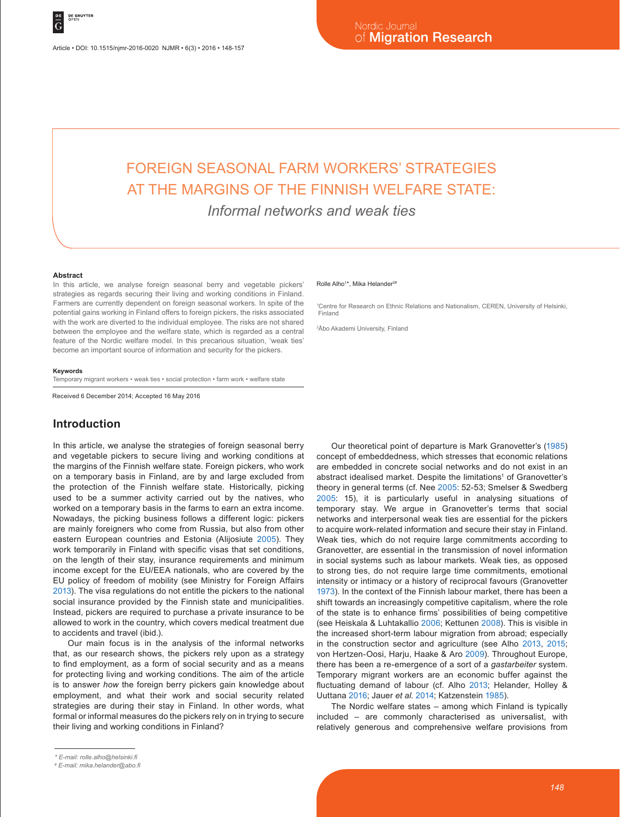# FOREIGN SEASONAL FARM WORKERS' STRATEGIES AT THE MARGINS OF THE FINNISH WELFARE STATE:

*Informal networks and weak ties*

#### **Abstract**

In this article, we analyse foreign seasonal berry and vegetable pickers' strategies as regards securing their living and working conditions in Finland. Farmers are currently dependent on foreign seasonal workers. In spite of the potential gains working in Finland offers to foreign pickers, the risks associated with the work are diverted to the individual employee. The risks are not shared between the employee and the welfare state, which is regarded as a central feature of the Nordic welfare model. In this precarious situation, 'weak ties' become an important source of information and security for the pickers.

#### **Keywords**

Temporary migrant workers • weak ties • social protection • farm work • welfare state

Received 6 December 2014; Accepted 16 May 2016

## **Introduction**

In this article, we analyse the strategies of foreign seasonal berry and vegetable pickers to secure living and working conditions at the margins of the Finnish welfare state. Foreign pickers, who work on a temporary basis in Finland, are by and large excluded from the protection of the Finnish welfare state. Historically, picking used to be a summer activity carried out by the natives, who worked on a temporary basis in the farms to earn an extra income. Nowadays, the picking business follows a different logic: pickers are mainly foreigners who come from Russia, but also from other eastern European countries and Estonia (Alijosiute 2005). They work temporarily in Finland with specific visas that set conditions, on the length of their stay, insurance requirements and minimum income except for the EU/EEA nationals, who are covered by the EU policy of freedom of mobility (see Ministry for Foreign Affairs 2013). The visa regulations do not entitle the pickers to the national social insurance provided by the Finnish state and municipalities. Instead, pickers are required to purchase a private insurance to be allowed to work in the country, which covers medical treatment due to accidents and travel (ibid.).

Our main focus is in the analysis of the informal networks that, as our research shows, the pickers rely upon as a strategy to find employment, as a form of social security and as a means for protecting living and working conditions. The aim of the article is to answer *how* the foreign berry pickers gain knowledge about employment, and what their work and social security related strategies are during their stay in Finland. In other words, what formal or informal measures do the pickers rely on in trying to secure their living and working conditions in Finland?

#### Rolle Alho<sup>1\*</sup>, Mika Helander<sup>2#</sup>

1 Centre for Research on Ethnic Relations and Nationalism, CEREN, University of Helsinki, Finland

2 Åbo Akademi University, Finland

Our theoretical point of departure is Mark Granovetter's (1985) concept of embeddedness, which stresses that economic relations are embedded in concrete social networks and do not exist in an abstract idealised market. Despite the limitations<sup>1</sup> of Granovetter's theory in general terms (cf. Nee 2005: 52-53; Smelser & Swedberg 2005: 15), it is particularly useful in analysing situations of temporary stay. We argue in Granovetter's terms that social networks and interpersonal weak ties are essential for the pickers to acquire work-related information and secure their stay in Finland. Weak ties, which do not require large commitments according to Granovetter, are essential in the transmission of novel information in social systems such as labour markets. Weak ties, as opposed to strong ties, do not require large time commitments, emotional intensity or intimacy or a history of reciprocal favours (Granovetter 1973). In the context of the Finnish labour market, there has been a shift towards an increasingly competitive capitalism, where the role of the state is to enhance firms' possibilities of being competitive (see Heiskala & Luhtakallio 2006; Kettunen 2008). This is visible in the increased short-term labour migration from abroad; especially in the construction sector and agriculture (see Alho 2013, 2015; von Hertzen-Oosi, Harju, Haake & Aro 2009). Throughout Europe, there has been a re-emergence of a sort of a *gastarbeiter* system. Temporary migrant workers are an economic buffer against the fluctuating demand of labour (cf. Alho 2013; Helander, Holley & Uuttana 2016; Jauer *et al*. 2014; Katzenstein 1985).

The Nordic welfare states – among which Finland is typically included – are commonly characterised as universalist, with relatively generous and comprehensive welfare provisions from

*<sup>\*</sup> E-mail: rolle.alho@helsinki.fi*

*<sup>#</sup> E-mail: mika.helander@abo.fi*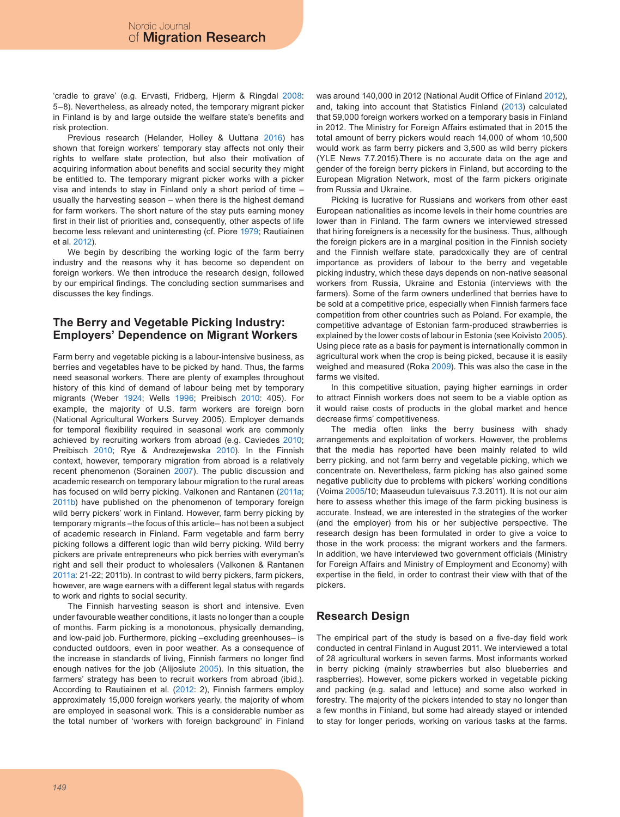'cradle to grave' (e.g. Ervasti, Fridberg, Hjerm & Ringdal 2008: 5–8). Nevertheless, as already noted, the temporary migrant picker in Finland is by and large outside the welfare state's benefits and risk protection.

Previous research (Helander, Holley & Uuttana 2016) has shown that foreign workers' temporary stay affects not only their rights to welfare state protection, but also their motivation of acquiring information about benefits and social security they might be entitled to. The temporary migrant picker works with a picker visa and intends to stay in Finland only a short period of time – usually the harvesting season – when there is the highest demand for farm workers. The short nature of the stay puts earning money first in their list of priorities and, consequently, other aspects of life become less relevant and uninteresting (cf. Piore 1979; Rautiainen et al. 2012).

We begin by describing the working logic of the farm berry industry and the reasons why it has become so dependent on foreign workers. We then introduce the research design, followed by our empirical findings. The concluding section summarises and discusses the key findings.

#### **The Berry and Vegetable Picking Industry: Employers' Dependence on Migrant Workers**

Farm berry and vegetable picking is a labour-intensive business, as berries and vegetables have to be picked by hand. Thus, the farms need seasonal workers. There are plenty of examples throughout history of this kind of demand of labour being met by temporary migrants (Weber 1924; Wells 1996; Preibisch 2010: 405). For example, the majority of U.S. farm workers are foreign born (National Agricultural Workers Survey 2005). Employer demands for temporal flexibility required in seasonal work are commonly achieved by recruiting workers from abroad (e.g. Caviedes 2010; Preibisch 2010; Rye & Andrezejewska 2010). In the Finnish context, however, temporary migration from abroad is a relatively recent phenomenon (Sorainen 2007). The public discussion and academic research on temporary labour migration to the rural areas has focused on wild berry picking. Valkonen and Rantanen (2011a; 2011b) have published on the phenomenon of temporary foreign wild berry pickers' work in Finland. However, farm berry picking by temporary migrants –the focus of this article– has not been a subject of academic research in Finland. Farm vegetable and farm berry picking follows a different logic than wild berry picking. Wild berry pickers are private entrepreneurs who pick berries with everyman's right and sell their product to wholesalers (Valkonen & Rantanen 2011a: 21-22; 2011b). In contrast to wild berry pickers, farm pickers, however, are wage earners with a different legal status with regards to work and rights to social security.

The Finnish harvesting season is short and intensive. Even under favourable weather conditions, it lasts no longer than a couple of months. Farm picking is a monotonous, physically demanding, and low-paid job. Furthermore, picking –excluding greenhouses– is conducted outdoors, even in poor weather. As a consequence of the increase in standards of living, Finnish farmers no longer find enough natives for the job (Alijosiute 2005). In this situation, the farmers' strategy has been to recruit workers from abroad (ibid.). According to Rautiainen et al. (2012: 2), Finnish farmers employ approximately 15,000 foreign workers yearly, the majority of whom are employed in seasonal work. This is a considerable number as the total number of 'workers with foreign background' in Finland

was around 140,000 in 2012 (National Audit Office of Finland 2012), and, taking into account that Statistics Finland (2013) calculated that 59,000 foreign workers worked on a temporary basis in Finland in 2012. The Ministry for Foreign Affairs estimated that in 2015 the total amount of berry pickers would reach 14,000 of whom 10,500 would work as farm berry pickers and 3,500 as wild berry pickers (YLE News 7.7.2015).There is no accurate data on the age and gender of the foreign berry pickers in Finland, but according to the European Migration Network, most of the farm pickers originate from Russia and Ukraine.

Picking is lucrative for Russians and workers from other east European nationalities as income levels in their home countries are lower than in Finland. The farm owners we interviewed stressed that hiring foreigners is a necessity for the business. Thus, although the foreign pickers are in a marginal position in the Finnish society and the Finnish welfare state, paradoxically they are of central importance as providers of labour to the berry and vegetable picking industry, which these days depends on non-native seasonal workers from Russia, Ukraine and Estonia (interviews with the farmers). Some of the farm owners underlined that berries have to be sold at a competitive price, especially when Finnish farmers face competition from other countries such as Poland. For example, the competitive advantage of Estonian farm-produced strawberries is explained by the lower costs of labour in Estonia (see Koivisto 2005). Using piece rate as a basis for payment is internationally common in agricultural work when the crop is being picked, because it is easily weighed and measured (Roka 2009). This was also the case in the farms we visited.

In this competitive situation, paying higher earnings in order to attract Finnish workers does not seem to be a viable option as it would raise costs of products in the global market and hence decrease firms' competitiveness.

The media often links the berry business with shady arrangements and exploitation of workers. However, the problems that the media has reported have been mainly related to wild berry picking, and not farm berry and vegetable picking, which we concentrate on. Nevertheless, farm picking has also gained some negative publicity due to problems with pickers' working conditions (Voima 2005/10; Maaseudun tulevaisuus 7.3.2011). It is not our aim here to assess whether this image of the farm picking business is accurate. Instead, we are interested in the strategies of the worker (and the employer) from his or her subjective perspective. The research design has been formulated in order to give a voice to those in the work process: the migrant workers and the farmers. In addition, we have interviewed two government officials (Ministry for Foreign Affairs and Ministry of Employment and Economy) with expertise in the field, in order to contrast their view with that of the pickers.

# **Research Design**

The empirical part of the study is based on a five-day field work conducted in central Finland in August 2011. We interviewed a total of 28 agricultural workers in seven farms. Most informants worked in berry picking (mainly strawberries but also blueberries and raspberries). However, some pickers worked in vegetable picking and packing (e.g. salad and lettuce) and some also worked in forestry. The majority of the pickers intended to stay no longer than a few months in Finland, but some had already stayed or intended to stay for longer periods, working on various tasks at the farms.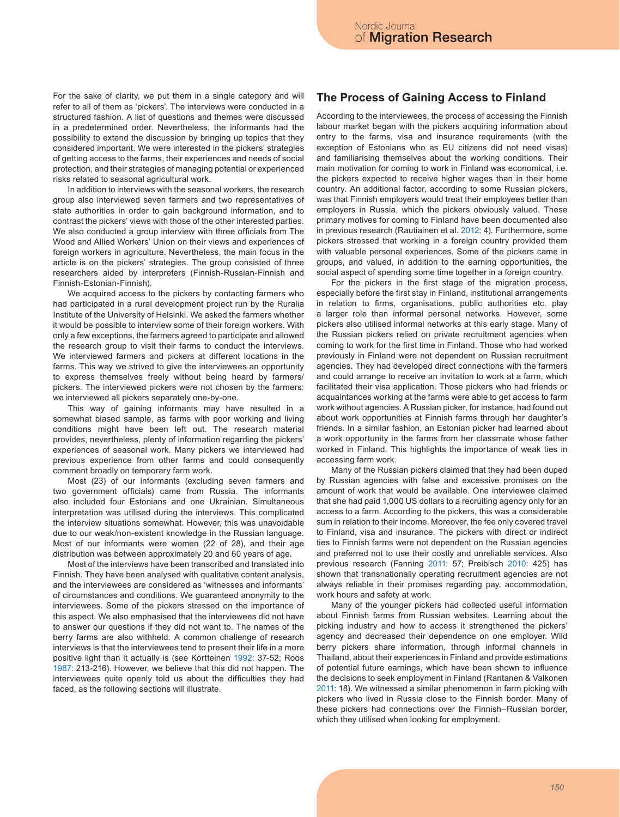For the sake of clarity, we put them in a single category and will refer to all of them as 'pickers'. The interviews were conducted in a structured fashion. A list of questions and themes were discussed in a predetermined order. Nevertheless, the informants had the possibility to extend the discussion by bringing up topics that they considered important. We were interested in the pickers' strategies of getting access to the farms, their experiences and needs of social protection, and their strategies of managing potential or experienced risks related to seasonal agricultural work.

In addition to interviews with the seasonal workers, the research group also interviewed seven farmers and two representatives of state authorities in order to gain background information, and to contrast the pickers' views with those of the other interested parties. We also conducted a group interview with three officials from The Wood and Allied Workers' Union on their views and experiences of foreign workers in agriculture. Nevertheless, the main focus in the article is on the pickers' strategies. The group consisted of three researchers aided by interpreters (Finnish-Russian-Finnish and Finnish-Estonian-Finnish).

We acquired access to the pickers by contacting farmers who had participated in a rural development project run by the Ruralia Institute of the University of Helsinki. We asked the farmers whether it would be possible to interview some of their foreign workers. With only a few exceptions, the farmers agreed to participate and allowed the research group to visit their farms to conduct the interviews. We interviewed farmers and pickers at different locations in the farms. This way we strived to give the interviewees an opportunity to express themselves freely without being heard by farmers/ pickers. The interviewed pickers were not chosen by the farmers: we interviewed all pickers separately one-by-one.

This way of gaining informants may have resulted in a somewhat biased sample, as farms with poor working and living conditions might have been left out. The research material provides, nevertheless, plenty of information regarding the pickers' experiences of seasonal work. Many pickers we interviewed had previous experience from other farms and could consequently comment broadly on temporary farm work.

Most (23) of our informants (excluding seven farmers and two government officials) came from Russia. The informants also included four Estonians and one Ukrainian. Simultaneous interpretation was utilised during the interviews. This complicated the interview situations somewhat. However, this was unavoidable due to our weak/non-existent knowledge in the Russian language. Most of our informants were women (22 of 28), and their age distribution was between approximately 20 and 60 years of age.

Most of the interviews have been transcribed and translated into Finnish. They have been analysed with qualitative content analysis, and the interviewees are considered as 'witnesses and informants' of circumstances and conditions. We guaranteed anonymity to the interviewees. Some of the pickers stressed on the importance of this aspect. We also emphasised that the interviewees did not have to answer our questions if they did not want to. The names of the berry farms are also withheld. A common challenge of research interviews is that the interviewees tend to present their life in a more positive light than it actually is (see Kortteinen 1992: 37-52; Roos 1987: 213-216). However, we believe that this did not happen. The interviewees quite openly told us about the difficulties they had faced, as the following sections will illustrate.

### **The Process of Gaining Access to Finland**

According to the interviewees, the process of accessing the Finnish labour market began with the pickers acquiring information about entry to the farms, visa and insurance requirements (with the exception of Estonians who as EU citizens did not need visas) and familiarising themselves about the working conditions. Their main motivation for coming to work in Finland was economical, i.e. the pickers expected to receive higher wages than in their home country. An additional factor, according to some Russian pickers, was that Finnish employers would treat their employees better than employers in Russia, which the pickers obviously valued. These primary motives for coming to Finland have been documented also in previous research (Rautiainen et al. 2012: 4). Furthermore, some pickers stressed that working in a foreign country provided them with valuable personal experiences. Some of the pickers came in groups, and valued, in addition to the earning opportunities, the social aspect of spending some time together in a foreign country.

For the pickers in the first stage of the migration process, especially before the first stay in Finland, institutional arrangements in relation to firms, organisations, public authorities etc. play a larger role than informal personal networks. However, some pickers also utilised informal networks at this early stage. Many of the Russian pickers relied on private recruitment agencies when coming to work for the first time in Finland. Those who had worked previously in Finland were not dependent on Russian recruitment agencies. They had developed direct connections with the farmers and could arrange to receive an invitation to work at a farm, which facilitated their visa application. Those pickers who had friends or acquaintances working at the farms were able to get access to farm work without agencies. A Russian picker, for instance, had found out about work opportunities at Finnish farms through her daughter's friends. In a similar fashion, an Estonian picker had learned about a work opportunity in the farms from her classmate whose father worked in Finland. This highlights the importance of weak ties in accessing farm work.

Many of the Russian pickers claimed that they had been duped by Russian agencies with false and excessive promises on the amount of work that would be available. One interviewee claimed that she had paid 1,000 US dollars to a recruiting agency only for an access to a farm. According to the pickers, this was a considerable sum in relation to their income. Moreover, the fee only covered travel to Finland, visa and insurance. The pickers with direct or indirect ties to Finnish farms were not dependent on the Russian agencies and preferred not to use their costly and unreliable services. Also previous research (Fanning 2011: 57; Preibisch 2010: 425) has shown that transnationally operating recruitment agencies are not always reliable in their promises regarding pay, accommodation, work hours and safety at work.

Many of the younger pickers had collected useful information about Finnish farms from Russian websites. Learning about the picking industry and how to access it strengthened the pickers' agency and decreased their dependence on one employer. Wild berry pickers share information, through informal channels in Thailand, about their experiences in Finland and provide estimations of potential future earnings, which have been shown to influence the decisions to seek employment in Finland (Rantanen & Valkonen 2011: 18). We witnessed a similar phenomenon in farm picking with pickers who lived in Russia close to the Finnish border. Many of these pickers had connections over the Finnish–Russian border, which they utilised when looking for employment.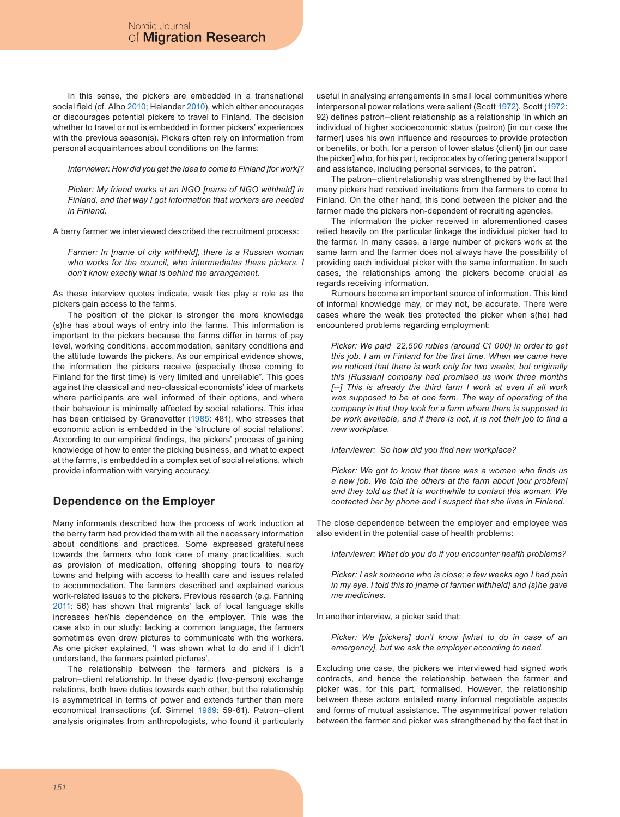In this sense, the pickers are embedded in a transnational social field (cf. Alho 2010; Helander 2010), which either encourages or discourages potential pickers to travel to Finland. The decision whether to travel or not is embedded in former pickers' experiences with the previous season(s). Pickers often rely on information from personal acquaintances about conditions on the farms:

*Interviewer: How did you get the idea to come to Finland [for work]?*

*Picker: My friend works at an NGO [name of NGO withheld] in Finland, and that way I got information that workers are needed in Finland.*

A berry farmer we interviewed described the recruitment process:

*Farmer: In [name of city withheld], there is a Russian woman who works for the council, who intermediates these pickers. I don't know exactly what is behind the arrangement.*

As these interview quotes indicate, weak ties play a role as the pickers gain access to the farms.

The position of the picker is stronger the more knowledge (s)he has about ways of entry into the farms. This information is important to the pickers because the farms differ in terms of pay level, working conditions, accommodation, sanitary conditions and the attitude towards the pickers. As our empirical evidence shows, the information the pickers receive (especially those coming to Finland for the first time) is very limited and unreliable". This goes against the classical and neo-classical economists' idea of markets where participants are well informed of their options, and where their behaviour is minimally affected by social relations. This idea has been criticised by Granovetter (1985: 481), who stresses that economic action is embedded in the 'structure of social relations'. According to our empirical findings, the pickers' process of gaining knowledge of how to enter the picking business, and what to expect at the farms, is embedded in a complex set of social relations, which provide information with varying accuracy.

## **Dependence on the Employer**

Many informants described how the process of work induction at the berry farm had provided them with all the necessary information about conditions and practices. Some expressed gratefulness towards the farmers who took care of many practicalities, such as provision of medication, offering shopping tours to nearby towns and helping with access to health care and issues related to accommodation. The farmers described and explained various work-related issues to the pickers. Previous research (e.g. Fanning 2011: 56) has shown that migrants' lack of local language skills increases her/his dependence on the employer. This was the case also in our study: lacking a common language, the farmers sometimes even drew pictures to communicate with the workers. As one picker explained, 'I was shown what to do and if I didn't understand, the farmers painted pictures'.

The relationship between the farmers and pickers is a patron–client relationship. In these dyadic (two-person) exchange relations, both have duties towards each other, but the relationship is asymmetrical in terms of power and extends further than mere economical transactions (cf. Simmel 1969: 59-61). Patron–client analysis originates from anthropologists, who found it particularly

useful in analysing arrangements in small local communities where interpersonal power relations were salient (Scott 1972). Scott (1972: 92) defines patron–client relationship as a relationship 'in which an individual of higher socioeconomic status (patron) [in our case the farmer] uses his own influence and resources to provide protection or benefits, or both, for a person of lower status (client) [in our case the picker] who, for his part, reciprocates by offering general support and assistance, including personal services, to the patron'.

The patron–client relationship was strengthened by the fact that many pickers had received invitations from the farmers to come to Finland. On the other hand, this bond between the picker and the farmer made the pickers non-dependent of recruiting agencies.

The information the picker received in aforementioned cases relied heavily on the particular linkage the individual picker had to the farmer. In many cases, a large number of pickers work at the same farm and the farmer does not always have the possibility of providing each individual picker with the same information. In such cases, the relationships among the pickers become crucial as regards receiving information.

Rumours become an important source of information. This kind of informal knowledge may, or may not, be accurate. There were cases where the weak ties protected the picker when s(he) had encountered problems regarding employment:

*Picker: We paid 22,500 rubles (around €1 000) in order to get this job. I am in Finland for the first time. When we came here we noticed that there is work only for two weeks, but originally this [Russian] company had promised us work three months [--] This is already the third farm I work at even if all work was supposed to be at one farm. The way of operating of the company is that they look for a farm where there is supposed to be work available, and if there is not, it is not their job to find a new workplace.*

*Interviewer: So how did you find new workplace?*

*Picker: We got to know that there was a woman who finds us a new job. We told the others at the farm about [our problem] and they told us that it is worthwhile to contact this woman. We contacted her by phone and I suspect that she lives in Finland.*

The close dependence between the employer and employee was also evident in the potential case of health problems:

*Interviewer: What do you do if you encounter health problems?*

*Picker: I ask someone who is close; a few weeks ago I had pain in my eye. I told this to [name of farmer withheld] and (s)he gave me medicines.*

In another interview, a picker said that:

*Picker: We [pickers] don't know [what to do in case of an emergency], but we ask the employer according to need.* 

Excluding one case, the pickers we interviewed had signed work contracts, and hence the relationship between the farmer and picker was, for this part, formalised. However, the relationship between these actors entailed many informal negotiable aspects and forms of mutual assistance. The asymmetrical power relation between the farmer and picker was strengthened by the fact that in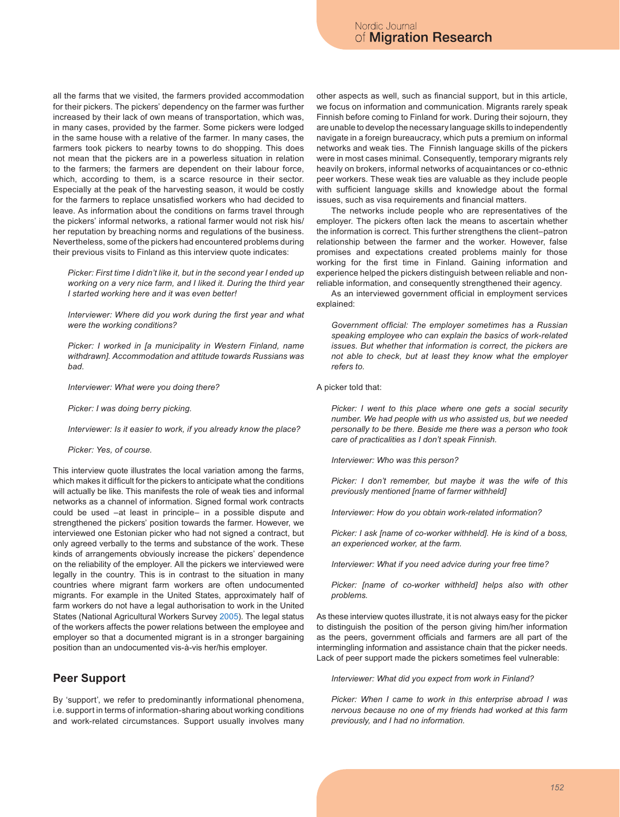all the farms that we visited, the farmers provided accommodation for their pickers. The pickers' dependency on the farmer was further increased by their lack of own means of transportation, which was, in many cases, provided by the farmer. Some pickers were lodged in the same house with a relative of the farmer. In many cases, the farmers took pickers to nearby towns to do shopping. This does not mean that the pickers are in a powerless situation in relation to the farmers; the farmers are dependent on their labour force, which, according to them, is a scarce resource in their sector. Especially at the peak of the harvesting season, it would be costly for the farmers to replace unsatisfied workers who had decided to leave. As information about the conditions on farms travel through the pickers' informal networks, a rational farmer would not risk his/ her reputation by breaching norms and regulations of the business. Nevertheless, some of the pickers had encountered problems during their previous visits to Finland as this interview quote indicates:

*Picker: First time I didn't like it, but in the second year I ended up working on a very nice farm, and I liked it. During the third year I started working here and it was even better!*

*Interviewer: Where did you work during the first year and what were the working conditions?*

*Picker: I worked in [a municipality in Western Finland, name withdrawn]. Accommodation and attitude towards Russians was bad.*

*Interviewer: What were you doing there?*

*Picker: I was doing berry picking.*

*Interviewer: Is it easier to work, if you already know the place?*

*Picker: Yes, of course.*

This interview quote illustrates the local variation among the farms, which makes it difficult for the pickers to anticipate what the conditions will actually be like. This manifests the role of weak ties and informal networks as a channel of information. Signed formal work contracts could be used –at least in principle– in a possible dispute and strengthened the pickers' position towards the farmer. However, we interviewed one Estonian picker who had not signed a contract, but only agreed verbally to the terms and substance of the work. These kinds of arrangements obviously increase the pickers' dependence on the reliability of the employer. All the pickers we interviewed were legally in the country. This is in contrast to the situation in many countries where migrant farm workers are often undocumented migrants. For example in the United States, approximately half of farm workers do not have a legal authorisation to work in the United States (National Agricultural Workers Survey 2005). The legal status of the workers affects the power relations between the employee and employer so that a documented migrant is in a stronger bargaining position than an undocumented vis-à-vis her/his employer.

## **Peer Support**

By 'support', we refer to predominantly informational phenomena, i.e. support in terms of information-sharing about working conditions and work-related circumstances. Support usually involves many other aspects as well, such as financial support, but in this article, we focus on information and communication. Migrants rarely speak Finnish before coming to Finland for work. During their sojourn, they are unable to develop the necessary language skills to independently navigate in a foreign bureaucracy, which puts a premium on informal networks and weak ties. The Finnish language skills of the pickers were in most cases minimal. Consequently, temporary migrants rely heavily on brokers, informal networks of acquaintances or co-ethnic peer workers. These weak ties are valuable as they include people with sufficient language skills and knowledge about the formal issues, such as visa requirements and financial matters.

The networks include people who are representatives of the employer. The pickers often lack the means to ascertain whether the information is correct. This further strengthens the client–patron relationship between the farmer and the worker. However, false promises and expectations created problems mainly for those working for the first time in Finland. Gaining information and experience helped the pickers distinguish between reliable and nonreliable information, and consequently strengthened their agency.

As an interviewed government official in employment services explained:

*Government official: The employer sometimes has a Russian speaking employee who can explain the basics of work-related issues. But whether that information is correct, the pickers are not able to check, but at least they know what the employer refers to.*

A picker told that:

*Picker: I went to this place where one gets a social security number. We had people with us who assisted us, but we needed personally to be there. Beside me there was a person who took care of practicalities as I don't speak Finnish.*

*Interviewer: Who was this person?*

*Picker: I don't remember, but maybe it was the wife of this previously mentioned [name of farmer withheld]*

*Interviewer: How do you obtain work-related information?*

*Picker: I ask [name of co-worker withheld]. He is kind of a boss, an experienced worker, at the farm.*

*Interviewer: What if you need advice during your free time?*

*Picker: [name of co-worker withheld] helps also with other problems.*

As these interview quotes illustrate, it is not always easy for the picker to distinguish the position of the person giving him/her information as the peers, government officials and farmers are all part of the intermingling information and assistance chain that the picker needs. Lack of peer support made the pickers sometimes feel vulnerable:

*Interviewer: What did you expect from work in Finland?*

*Picker: When I came to work in this enterprise abroad I was nervous because no one of my friends had worked at this farm previously, and I had no information.*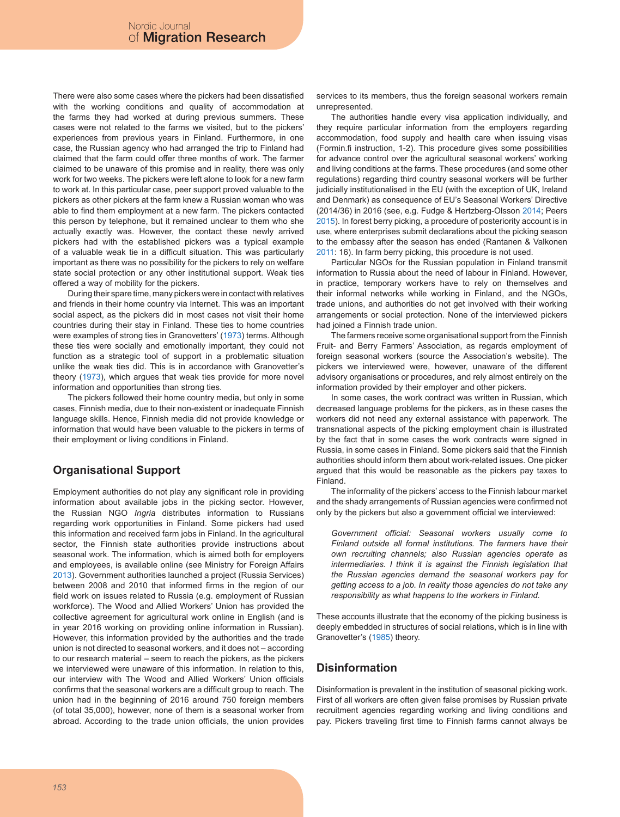There were also some cases where the pickers had been dissatisfied with the working conditions and quality of accommodation at the farms they had worked at during previous summers. These cases were not related to the farms we visited, but to the pickers' experiences from previous years in Finland. Furthermore, in one case, the Russian agency who had arranged the trip to Finland had claimed that the farm could offer three months of work. The farmer claimed to be unaware of this promise and in reality, there was only work for two weeks. The pickers were left alone to look for a new farm to work at. In this particular case, peer support proved valuable to the pickers as other pickers at the farm knew a Russian woman who was able to find them employment at a new farm. The pickers contacted this person by telephone, but it remained unclear to them who she actually exactly was. However, the contact these newly arrived pickers had with the established pickers was a typical example of a valuable weak tie in a difficult situation. This was particularly important as there was no possibility for the pickers to rely on welfare state social protection or any other institutional support. Weak ties offered a way of mobility for the pickers.

During their spare time, many pickers were in contact with relatives and friends in their home country via Internet. This was an important social aspect, as the pickers did in most cases not visit their home countries during their stay in Finland. These ties to home countries were examples of strong ties in Granovetters' (1973) terms. Although these ties were socially and emotionally important, they could not function as a strategic tool of support in a problematic situation unlike the weak ties did. This is in accordance with Granovetter's theory (1973), which argues that weak ties provide for more novel information and opportunities than strong ties.

The pickers followed their home country media, but only in some cases, Finnish media, due to their non-existent or inadequate Finnish language skills. Hence, Finnish media did not provide knowledge or information that would have been valuable to the pickers in terms of their employment or living conditions in Finland.

# **Organisational Support**

Employment authorities do not play any significant role in providing information about available jobs in the picking sector. However, the Russian NGO *Ingria* distributes information to Russians regarding work opportunities in Finland. Some pickers had used this information and received farm jobs in Finland. In the agricultural sector, the Finnish state authorities provide instructions about seasonal work. The information, which is aimed both for employers and employees, is available online (see Ministry for Foreign Affairs 2013). Government authorities launched a project (Russia Services) between 2008 and 2010 that informed firms in the region of our field work on issues related to Russia (e.g. employment of Russian workforce). The Wood and Allied Workers' Union has provided the collective agreement for agricultural work online in English (and is in year 2016 working on providing online information in Russian). However, this information provided by the authorities and the trade union is not directed to seasonal workers, and it does not – according to our research material – seem to reach the pickers, as the pickers we interviewed were unaware of this information. In relation to this, our interview with The Wood and Allied Workers' Union officials confirms that the seasonal workers are a difficult group to reach. The union had in the beginning of 2016 around 750 foreign members (of total 35,000), however, none of them is a seasonal worker from abroad. According to the trade union officials, the union provides

services to its members, thus the foreign seasonal workers remain unrepresented.

The authorities handle every visa application individually, and they require particular information from the employers regarding accommodation, food supply and health care when issuing visas (Formin.fi instruction, 1-2). This procedure gives some possibilities for advance control over the agricultural seasonal workers' working and living conditions at the farms. These procedures (and some other regulations) regarding third country seasonal workers will be further judicially institutionalised in the EU (with the exception of UK, Ireland and Denmark) as consequence of EU's Seasonal Workers' Directive (2014/36) in 2016 (see, e.g. Fudge & Hertzberg-Olsson 2014; Peers 2015). In forest berry picking, a procedure of posteriority account is in use, where enterprises submit declarations about the picking season to the embassy after the season has ended (Rantanen & Valkonen 2011: 16). In farm berry picking, this procedure is not used.

Particular NGOs for the Russian population in Finland transmit information to Russia about the need of labour in Finland. However, in practice, temporary workers have to rely on themselves and their informal networks while working in Finland, and the NGOs, trade unions, and authorities do not get involved with their working arrangements or social protection. None of the interviewed pickers had joined a Finnish trade union.

The farmers receive some organisational support from the Finnish Fruit- and Berry Farmers' Association, as regards employment of foreign seasonal workers (source the Association's website). The pickers we interviewed were, however, unaware of the different advisory organisations or procedures, and rely almost entirely on the information provided by their employer and other pickers.

In some cases, the work contract was written in Russian, which decreased language problems for the pickers, as in these cases the workers did not need any external assistance with paperwork. The transnational aspects of the picking employment chain is illustrated by the fact that in some cases the work contracts were signed in Russia, in some cases in Finland. Some pickers said that the Finnish authorities should inform them about work-related issues. One picker argued that this would be reasonable as the pickers pay taxes to Finland.

The informality of the pickers' access to the Finnish labour market and the shady arrangements of Russian agencies were confirmed not only by the pickers but also a government official we interviewed:

*Government official: Seasonal workers usually come to Finland outside all formal institutions. The farmers have their own recruiting channels; also Russian agencies operate as intermediaries. I think it is against the Finnish legislation that the Russian agencies demand the seasonal workers pay for getting access to a job. In reality those agencies do not take any responsibility as what happens to the workers in Finland.*

These accounts illustrate that the economy of the picking business is deeply embedded in structures of social relations, which is in line with Granovetter's (1985) theory.

## **Disinformation**

Disinformation is prevalent in the institution of seasonal picking work. First of all workers are often given false promises by Russian private recruitment agencies regarding working and living conditions and pay. Pickers traveling first time to Finnish farms cannot always be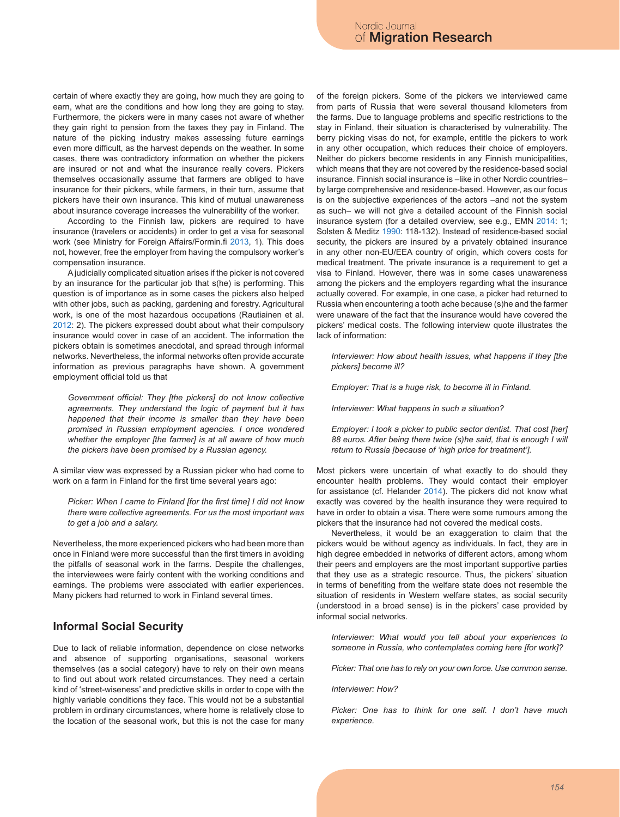certain of where exactly they are going, how much they are going to earn, what are the conditions and how long they are going to stay. Furthermore, the pickers were in many cases not aware of whether they gain right to pension from the taxes they pay in Finland. The nature of the picking industry makes assessing future earnings even more difficult, as the harvest depends on the weather. In some cases, there was contradictory information on whether the pickers are insured or not and what the insurance really covers. Pickers themselves occasionally assume that farmers are obliged to have insurance for their pickers, while farmers, in their turn, assume that pickers have their own insurance. This kind of mutual unawareness about insurance coverage increases the vulnerability of the worker.

According to the Finnish law, pickers are required to have insurance (travelers or accidents) in order to get a visa for seasonal work (see Ministry for Foreign Affairs/Formin.fi 2013, 1). This does not, however, free the employer from having the compulsory worker's compensation insurance.

A judicially complicated situation arises if the picker is not covered by an insurance for the particular job that s(he) is performing. This question is of importance as in some cases the pickers also helped with other jobs, such as packing, gardening and forestry. Agricultural work, is one of the most hazardous occupations (Rautiainen et al. 2012: 2). The pickers expressed doubt about what their compulsory insurance would cover in case of an accident. The information the pickers obtain is sometimes anecdotal, and spread through informal networks. Nevertheless, the informal networks often provide accurate information as previous paragraphs have shown. A government employment official told us that

*Government official: They [the pickers] do not know collective agreements. They understand the logic of payment but it has happened that their income is smaller than they have been promised in Russian employment agencies. I once wondered whether the employer [the farmer] is at all aware of how much the pickers have been promised by a Russian agency.*

A similar view was expressed by a Russian picker who had come to work on a farm in Finland for the first time several years ago:

*Picker: When I came to Finland [for the first time] I did not know there were collective agreements. For us the most important was to get a job and a salary.*

Nevertheless, the more experienced pickers who had been more than once in Finland were more successful than the first timers in avoiding the pitfalls of seasonal work in the farms. Despite the challenges, the interviewees were fairly content with the working conditions and earnings. The problems were associated with earlier experiences. Many pickers had returned to work in Finland several times.

#### **Informal Social Security**

Due to lack of reliable information, dependence on close networks and absence of supporting organisations, seasonal workers themselves (as a social category) have to rely on their own means to find out about work related circumstances. They need a certain kind of 'street-wiseness' and predictive skills in order to cope with the highly variable conditions they face. This would not be a substantial problem in ordinary circumstances, where home is relatively close to the location of the seasonal work, but this is not the case for many

of the foreign pickers. Some of the pickers we interviewed came from parts of Russia that were several thousand kilometers from the farms. Due to language problems and specific restrictions to the stay in Finland, their situation is characterised by vulnerability. The berry picking visas do not, for example, entitle the pickers to work in any other occupation, which reduces their choice of employers. Neither do pickers become residents in any Finnish municipalities, which means that they are not covered by the residence-based social insurance. Finnish social insurance is –like in other Nordic countries– by large comprehensive and residence-based. However, as our focus is on the subjective experiences of the actors –and not the system as such– we will not give a detailed account of the Finnish social insurance system (for a detailed overview, see e.g., EMN 2014: 1; Solsten & Meditz 1990: 118-132). Instead of residence-based social security, the pickers are insured by a privately obtained insurance in any other non-EU/EEA country of origin, which covers costs for medical treatment. The private insurance is a requirement to get a visa to Finland. However, there was in some cases unawareness among the pickers and the employers regarding what the insurance actually covered. For example, in one case, a picker had returned to Russia when encountering a tooth ache because (s)he and the farmer were unaware of the fact that the insurance would have covered the pickers' medical costs. The following interview quote illustrates the lack of information:

*Interviewer: How about health issues, what happens if they [the pickers] become ill?*

*Employer: That is a huge risk, to become ill in Finland.*

*Interviewer: What happens in such a situation?*

*Employer: I took a picker to public sector dentist. That cost [her] 88 euros. After being there twice (s)he said, that is enough I will return to Russia [because of 'high price for treatment'].*

Most pickers were uncertain of what exactly to do should they encounter health problems. They would contact their employer for assistance (cf. Helander 2014). The pickers did not know what exactly was covered by the health insurance they were required to have in order to obtain a visa. There were some rumours among the pickers that the insurance had not covered the medical costs.

Nevertheless, it would be an exaggeration to claim that the pickers would be without agency as individuals. In fact, they are in high degree embedded in networks of different actors, among whom their peers and employers are the most important supportive parties that they use as a strategic resource. Thus, the pickers' situation in terms of benefiting from the welfare state does not resemble the situation of residents in Western welfare states, as social security (understood in a broad sense) is in the pickers' case provided by informal social networks.

*Interviewer: What would you tell about your experiences to someone in Russia, who contemplates coming here [for work]?*

*Picker: That one has to rely on your own force. Use common sense.*

#### *Interviewer: How?*

*Picker: One has to think for one self. I don't have much experience.*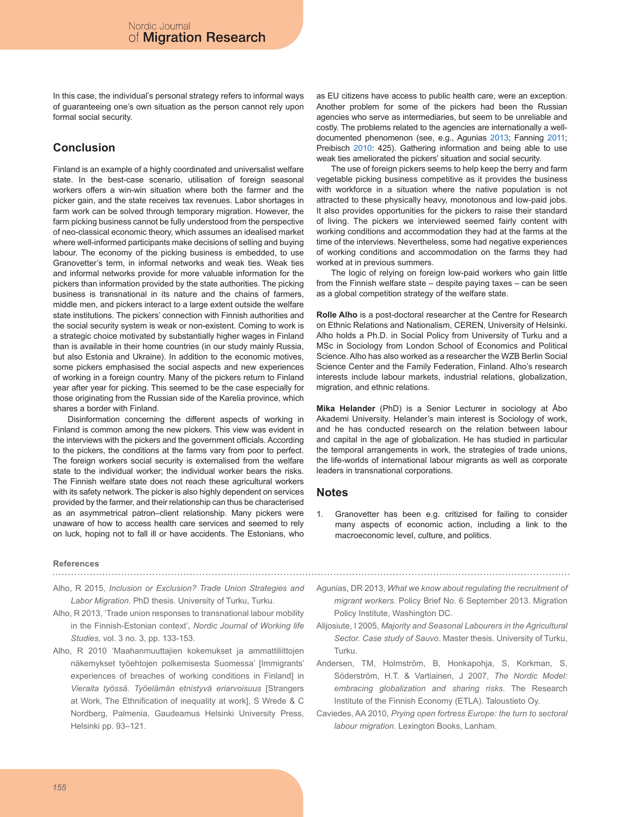In this case, the individual's personal strategy refers to informal ways of guaranteeing one's own situation as the person cannot rely upon formal social security.

# **Conclusion**

Finland is an example of a highly coordinated and universalist welfare state. In the best-case scenario, utilisation of foreign seasonal workers offers a win-win situation where both the farmer and the picker gain, and the state receives tax revenues. Labor shortages in farm work can be solved through temporary migration. However, the farm picking business cannot be fully understood from the perspective of neo-classical economic theory, which assumes an idealised market where well-informed participants make decisions of selling and buying labour. The economy of the picking business is embedded, to use Granovetter's term, in informal networks and weak ties. Weak ties and informal networks provide for more valuable information for the pickers than information provided by the state authorities. The picking business is transnational in its nature and the chains of farmers, middle men, and pickers interact to a large extent outside the welfare state institutions. The pickers' connection with Finnish authorities and the social security system is weak or non-existent. Coming to work is a strategic choice motivated by substantially higher wages in Finland than is available in their home countries (in our study mainly Russia, but also Estonia and Ukraine). In addition to the economic motives, some pickers emphasised the social aspects and new experiences of working in a foreign country. Many of the pickers return to Finland year after year for picking. This seemed to be the case especially for those originating from the Russian side of the Karelia province, which shares a border with Finland.

Disinformation concerning the different aspects of working in Finland is common among the new pickers. This view was evident in the interviews with the pickers and the government officials. According to the pickers, the conditions at the farms vary from poor to perfect. The foreign workers social security is externalised from the welfare state to the individual worker; the individual worker bears the risks. The Finnish welfare state does not reach these agricultural workers with its safety network. The picker is also highly dependent on services provided by the farmer, and their relationship can thus be characterised as an asymmetrical patron–client relationship. Many pickers were unaware of how to access health care services and seemed to rely on luck, hoping not to fall ill or have accidents. The Estonians, who

as EU citizens have access to public health care, were an exception. Another problem for some of the pickers had been the Russian agencies who serve as intermediaries, but seem to be unreliable and costly. The problems related to the agencies are internationally a welldocumented phenomenon (see, e.g., Agunias 2013; Fanning 2011; Preibisch 2010: 425). Gathering information and being able to use weak ties ameliorated the pickers' situation and social security.

The use of foreign pickers seems to help keep the berry and farm vegetable picking business competitive as it provides the business with workforce in a situation where the native population is not attracted to these physically heavy, monotonous and low-paid jobs. It also provides opportunities for the pickers to raise their standard of living. The pickers we interviewed seemed fairly content with working conditions and accommodation they had at the farms at the time of the interviews. Nevertheless, some had negative experiences of working conditions and accommodation on the farms they had worked at in previous summers.

The logic of relying on foreign low-paid workers who gain little from the Finnish welfare state – despite paying taxes – can be seen as a global competition strategy of the welfare state.

**Rolle Alho** is a post-doctoral researcher at the Centre for Research on Ethnic Relations and Nationalism, CEREN, University of Helsinki. Alho holds a Ph.D. in Social Policy from University of Turku and a MSc in Sociology from London School of Economics and Political Science. Alho has also worked as a researcher the WZB Berlin Social Science Center and the Family Federation, Finland. Alho's research interests include labour markets, industrial relations, globalization, migration, and ethnic relations.

**Mika Helander** (PhD) is a Senior Lecturer in sociology at Åbo Akademi University. Helander's main interest is Sociology of work, and he has conducted research on the relation between labour and capital in the age of globalization. He has studied in particular the temporal arrangements in work, the strategies of trade unions, the life-worlds of international labour migrants as well as corporate leaders in transnational corporations.

#### **Notes**

Granovetter has been e.g. critizised for failing to consider many aspects of economic action, including a link to the macroeconomic level, culture, and politics.

#### **References**

- Alho, R 2015, *Inclusion or Exclusion? Trade Union Strategies and Labor Migration*. PhD thesis. University of Turku, Turku.
- Alho, R 2013, 'Trade union responses to transnational labour mobility in the Finnish-Estonian context', *Nordic Journal of Working life Studies,* vol. 3 no. 3, pp. 133-153.
- Alho, R 2010 'Maahanmuuttajien kokemukset ja ammattiliittojen näkemykset työehtojen polkemisesta Suomessa' [Immigrants' experiences of breaches of working conditions in Finland] in *Vieraita työssä. Työelämän etnistyvä eriarvoisuus* [Strangers at Work, The Ethnification of inequality at work], S Wrede & C Nordberg, Palmenia, Gaudeamus Helsinki University Press, Helsinki pp. 93–121.
- Agunias, DR 2013, *What we know about regulating the recruitment of migrant workers*. Policy Brief No. 6 September 2013. Migration Policy Institute, Washington DC.
- Alijosiute, I 2005, *Majority and Seasonal Labourers in the Agricultural Sector. Case study of Sauvo*. Master thesis. University of Turku, Turku.
- Andersen, TM, Holmström, B, Honkapohja, S, Korkman, S, Söderström, H.T. & Vartiainen, J 2007, *The Nordic Model: embracing globalization and sharing risks*. The Research Institute of the Finnish Economy (ETLA). Taloustieto Oy.
- Caviedes, AA 2010, *Prying open fortress Europe: the turn to sectoral labour migration.* Lexington Books, Lanham.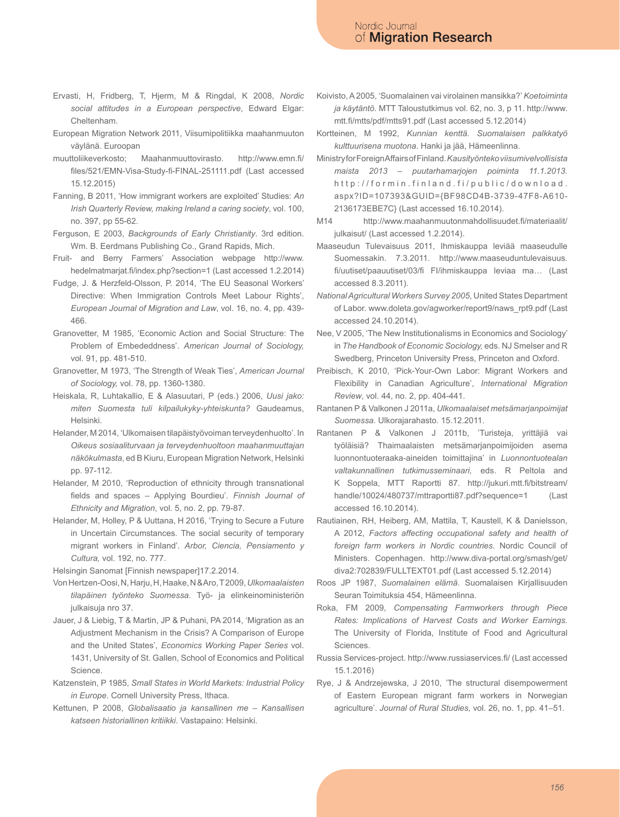- Ervasti, H, Fridberg, T, Hjerm, M & Ringdal, K 2008, *Nordic social attitudes in a European perspective*, Edward Elgar: Cheltenham.
- European Migration Network 2011, Viisumipolitiikka maahanmuuton väylänä. Euroopan
- muuttoliikeverkosto; Maahanmuuttovirasto. http://www.emn.fi/ files/521/EMN-Visa-Study-fi-FINAL-251111.pdf (Last accessed 15.12.2015)
- Fanning, B 2011, 'How immigrant workers are exploited' Studies: *An Irish Quarterly Review, making Ireland a caring society*, vol. 100, no. 397, pp 55-62.
- Ferguson, E 2003, *Backgrounds of Early Christianity*. 3rd edition. Wm. B. Eerdmans Publishing Co., Grand Rapids, Mich.
- Fruit- and Berry Farmers' Association webpage http://www. hedelmatmarjat.fi/index.php?section=1 (Last accessed 1.2.2014)
- Fudge, J. & Herzfeld-Olsson, P. 2014, 'The EU Seasonal Workers' Directive: When Immigration Controls Meet Labour Rights', *European Journal of Migration and Law*, vol. 16, no. 4, pp. 439- 466.
- Granovetter, M 1985, 'Economic Action and Social Structure: The Problem of Embededdness'. *American Journal of Sociology,* vol. 91, pp. 481-510.
- Granovetter, M 1973, 'The Strength of Weak Ties', *American Journal of Sociology,* vol. 78, pp. 1360-1380.
- Heiskala, R, Luhtakallio, E & Alasuutari, P (eds.) 2006, *Uusi jako: miten Suomesta tuli kilpailukyky-yhteiskunta?* Gaudeamus, Helsinki.
- Helander, M 2014, 'Ulkomaisen tilapäistyövoiman terveydenhuolto'. In *Oikeus sosiaaliturvaan ja terveydenhuoltoon maahanmuuttajan näkökulmasta*, ed B Kiuru, European Migration Network, Helsinki pp. 97-112.
- Helander, M 2010, 'Reproduction of ethnicity through transnational fields and spaces – Applying Bourdieu'. *Finnish Journal of Ethnicity and Migration*, vol. 5, no. 2, pp. 79-87.
- Helander, M, Holley, P & Uuttana, H 2016, 'Trying to Secure a Future in Uncertain Circumstances. The social security of temporary migrant workers in Finland'. *Arbor, Ciencia, Pensiamento y Cultura,* vol. 192, no. 777.

Helsingin Sanomat [Finnish newspaper]17.2.2014.

- Von Hertzen-Oosi, N, Harju, H, Haake, N & Aro, T 2009, *Ulkomaalaisten tilapäinen työnteko Suomessa*. Työ- ja elinkeinoministeriön julkaisuja nro 37.
- Jauer, J & Liebig, T & Martin, JP & Puhani, PA 2014, 'Migration as an Adjustment Mechanism in the Crisis? A Comparison of Europe and the United States', *Economics Working Paper Series* vol. 1431, University of St. Gallen, School of Economics and Political Science.
- Katzenstein, P 1985, *Small States in World Markets: Industrial Policy in Europe*. Cornell University Press, Ithaca.
- Kettunen, P 2008, *Globalisaatio ja kansallinen me Kansallisen katseen historiallinen kritiikki*. Vastapaino: Helsinki.
- Koivisto, A 2005, 'Suomalainen vai virolainen mansikka?' *Koetoiminta ja käytäntö*. MTT Taloustutkimus vol. 62, no. 3, p 11. http://www. mtt.fi/mtts/pdf/mtts91.pdf (Last accessed 5.12.2014)
- Kortteinen, M 1992, *Kunnian kenttä. Suomalaisen palkkatyö kulttuurisena muotona*. Hanki ja jää, Hämeenlinna.
- Ministry for Foreign Affairs of Finland. *Kausityönteko viisumivelvollisista maista 2013 – puutarhamarjojen poiminta 11.1.2013*. http://formin.finland.fi/public/download. aspx?ID=107393&GUID={BF98CD4B-3739-47F8-A610- 2136173EBE7C} (Last accessed 16.10.2014).
- M14 http://www.maahanmuutonmahdollisuudet.fi/materiaalit/ julkaisut/ (Last accessed 1.2.2014).
- Maaseudun Tulevaisuus 2011, Ihmiskauppa leviää maaseudulle Suomessakin. 7.3.2011. http://www.maaseuduntulevaisuus. fi/uutiset/paauutiset/03/fi FI/ihmiskauppa leviaa ma… (Last accessed 8.3.2011).
- *National Agricultural Workers Survey 2005*, United States Department of Labor. www.doleta.gov/agworker/report9/naws\_rpt9.pdf (Last accessed 24.10.2014).
- Nee, V 2005, 'The New Institutionalisms in Economics and Sociology' in *The Handbook of Economic Sociology,* eds. NJ Smelser and R Swedberg, Princeton University Press, Princeton and Oxford.
- Preibisch, K 2010, 'Pick-Your-Own Labor: Migrant Workers and Flexibility in Canadian Agriculture', *International Migration Review*, vol. 44, no. 2, pp. 404-441.
- Rantanen P & Valkonen J 2011a, *Ulkomaalaiset metsämarjanpoimijat Suomessa.* Ulkorajarahasto. 15.12.2011.
- Rantanen P & Valkonen J 2011b, 'Turisteja, yrittäjiä vai työläisiä? Thaimaalaisten metsämarjanpoimijoiden asema luonnontuoteraaka-aineiden toimittajina' in *Luonnontuotealan valtakunnallinen tutkimusseminaari,* eds. R Peltola and K Soppela, MTT Raportti 87. http://jukuri.mtt.fi/bitstream/ handle/10024/480737/mttraportti87.pdf?sequence=1 (Last accessed 16.10.2014).
- Rautiainen, RH, Heiberg, AM, Mattila, T, Kaustell, K & Danielsson, A 2012, *Factors affecting occupational safety and health of foreign farm workers in Nordic countries*. Nordic Council of Ministers. Copenhagen. http://www.diva-portal.org/smash/get/ diva2:702839/FULLTEXT01.pdf (Last accessed 5.12.2014)
- Roos JP 1987, *Suomalainen elämä*. Suomalaisen Kirjallisuuden Seuran Toimituksia 454, Hämeenlinna.
- Roka, FM 2009, *Compensating Farmworkers through Piece Rates: Implications of Harvest Costs and Worker Earnings.* The University of Florida, Institute of Food and Agricultural Sciences.
- Russia Services-project. http://www.russiaservices.fi/ (Last accessed 15.1.2016)
- Rye, J & Andrzejewska, J 2010, 'The structural disempowerment of Eastern European migrant farm workers in Norwegian agriculture'. *Journal of Rural Studies,* vol. 26, no. 1, pp. 41–51.